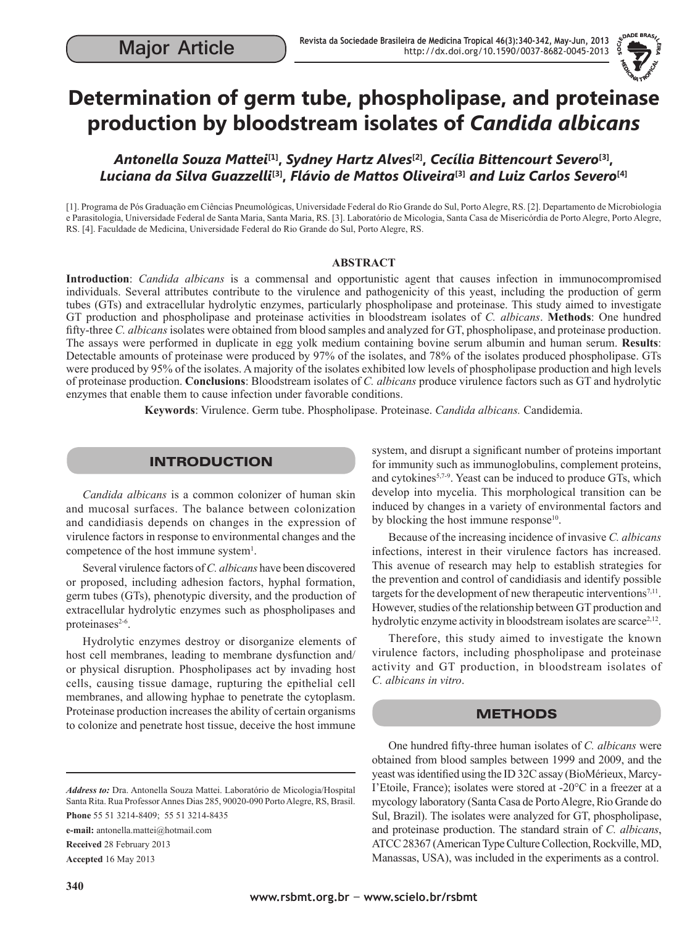

# **Determination of germ tube, phospholipase, and proteinase production by bloodstream isolates of** *Candida albicans*

*Antonella Souza Mattei***[1],** *Sydney Hartz Alves***[2],** *Cecília Bittencourt Severo***[3],**  *Luciana da Silva Guazzelli***[3],** *Flávio de Mattos Oliveira***[3]** *and Luiz Carlos Severo***[4]**

[1]. Programa de Pós Graduação em Ciências Pneumológicas, Universidade Federal do Rio Grande do Sul, Porto Alegre, RS. [2]. Departamento de Microbiologia e Parasitologia, Universidade Federal de Santa Maria, Santa Maria, RS. [3]. Laboratório de Micologia, Santa Casa de Misericórdia de Porto Alegre, Porto Alegre, RS. [4]. Faculdade de Medicina, Universidade Federal do Rio Grande do Sul, Porto Alegre, RS.

#### **ABSTRACT**

**Introduction**: *Candida albicans* is a commensal and opportunistic agent that causes infection in immunocompromised individuals. Several attributes contribute to the virulence and pathogenicity of this yeast, including the production of germ tubes (GTs) and extracellular hydrolytic enzymes, particularly phospholipase and proteinase. This study aimed to investigate GT production and phospholipase and proteinase activities in bloodstream isolates of *C. albicans*. **Methods**: One hundred fifty-three *C. albicans* isolates were obtained from blood samples and analyzed for GT, phospholipase, and proteinase production. The assays were performed in duplicate in egg yolk medium containing bovine serum albumin and human serum. **Results**: Detectable amounts of proteinase were produced by 97% of the isolates, and 78% of the isolates produced phospholipase. GTs were produced by 95% of the isolates. A majority of the isolates exhibited low levels of phospholipase production and high levels of proteinase production. **Conclusions**: Bloodstream isolates of *C. albicans* produce virulence factors such as GT and hydrolytic enzymes that enable them to cause infection under favorable conditions.

**Keywords**: Virulence. Germ tube. Phospholipase. Proteinase. *Candida albicans.* Candidemia.

# INTRODUCTION

*Candida albicans* is a common colonizer of human skin and mucosal surfaces. The balance between colonization and candidiasis depends on changes in the expression of virulence factors in response to environmental changes and the competence of the host immune system<sup>1</sup>.

Several virulence factors of *C. albicans* have been discovered or proposed, including adhesion factors, hyphal formation, germ tubes (GTs), phenotypic diversity, and the production of extracellular hydrolytic enzymes such as phospholipases and proteinases<sup>2-6</sup>.

Hydrolytic enzymes destroy or disorganize elements of host cell membranes, leading to membrane dysfunction and/ or physical disruption. Phospholipases act by invading host cells, causing tissue damage, rupturing the epithelial cell membranes, and allowing hyphae to penetrate the cytoplasm. Proteinase production increases the ability of certain organisms to colonize and penetrate host tissue, deceive the host immune

*Address to:* Dra. Antonella Souza Mattei. Laboratório de Micologia/Hospital Santa Rita. Rua Professor Annes Dias 285, 90020-090 Porto Alegre, RS, Brasil.

**Phone** 55 51 3214-8409; 55 51 3214-8435

**e-mail:** antonella.mattei@hotmail.com

**Received** 28 February 2013

**Accepted** 16 May 2013

system, and disrupt a significant number of proteins important for immunity such as immunoglobulins, complement proteins, and cytokines<sup>5,7-9</sup>. Yeast can be induced to produce GTs, which develop into mycelia. This morphological transition can be induced by changes in a variety of environmental factors and by blocking the host immune response<sup>10</sup>.

Because of the increasing incidence of invasive *C. albicans* infections, interest in their virulence factors has increased. This avenue of research may help to establish strategies for the prevention and control of candidiasis and identify possible targets for the development of new therapeutic interventions<sup>7,11</sup>. However, studies of the relationship between GT production and hydrolytic enzyme activity in bloodstream isolates are scarce<sup>2,12</sup>.

Therefore, this study aimed to investigate the known virulence factors, including phospholipase and proteinase activity and GT production, in bloodstream isolates of *C. albicans in vitro*.

### **METHODS**

One hundred fifty-three human isolates of *C. albicans* were obtained from blood samples between 1999 and 2009, and the yeast was identified using the ID 32C assay (BioMérieux, Marcy-I'Etoile, France); isolates were stored at -20°C in a freezer at a mycology laboratory (Santa Casa de Porto Alegre, Rio Grande do Sul, Brazil). The isolates were analyzed for GT, phospholipase, and proteinase production. The standard strain of *C. albicans*, ATCC 28367 (American Type Culture Collection, Rockville, MD, Manassas, USA), was included in the experiments as a control.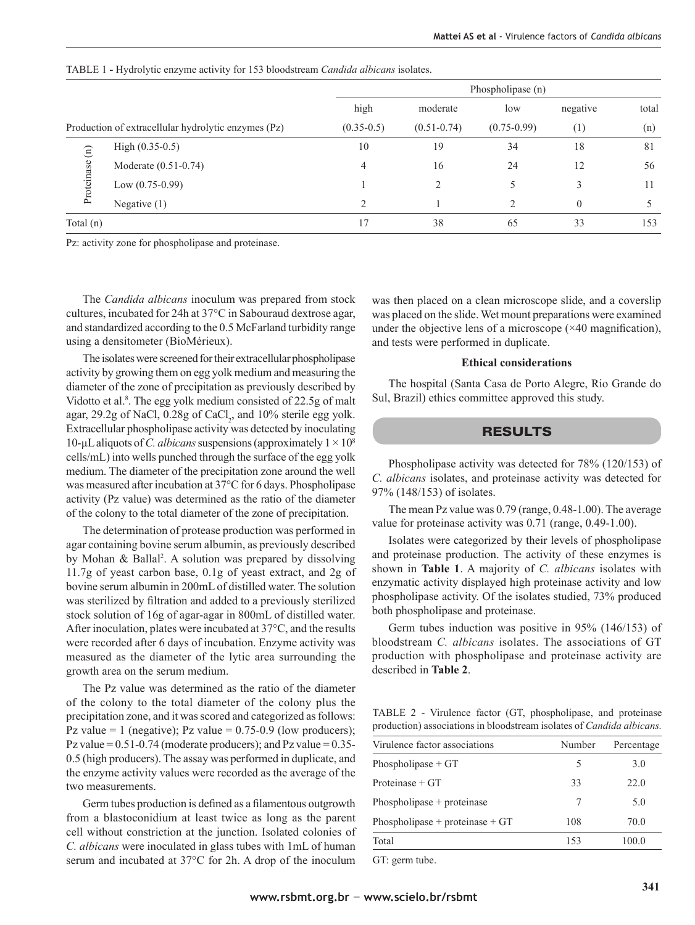|                                                     |                      |              | Phospholipase (n) |                 |          |       |  |
|-----------------------------------------------------|----------------------|--------------|-------------------|-----------------|----------|-------|--|
|                                                     |                      | high         | moderate          | low             | negative | total |  |
| Production of extracellular hydrolytic enzymes (Pz) |                      | $(0.35-0.5)$ | $(0.51 - 0.74)$   | $(0.75 - 0.99)$ | (1)      | (n)   |  |
| $\widehat{E}$<br>Proteinase                         | High $(0.35-0.5)$    | 10           | 19                | 34              | 18       | 81    |  |
|                                                     | Moderate (0.51-0.74) | 4            | 16                | 24              | 12       | 56    |  |
|                                                     | Low $(0.75-0.99)$    |              | $\mathfrak{D}$    |                 |          | 11    |  |
|                                                     | Negative $(1)$       |              |                   | ↑               | 0        |       |  |
| Total $(n)$                                         |                      | 17           | 38                | 65              | 33       | 153   |  |

TABLE 1 **-** Hydrolytic enzyme activity for 153 bloodstream *Candida albicans* isolates.

Pz: activity zone for phospholipase and proteinase.

The *Candida albicans* inoculum was prepared from stock cultures, incubated for 24h at 37°C in Sabouraud dextrose agar, and standardized according to the 0.5 McFarland turbidity range using a densitometer (BioMérieux).

The isolates were screened for their extracellular phospholipase activity by growing them on egg yolk medium and measuring the diameter of the zone of precipitation as previously described by Vidotto et al.<sup>8</sup>. The egg yolk medium consisted of 22.5g of malt agar,  $29.2g$  of NaCl,  $0.28g$  of CaCl<sub>2</sub>, and  $10\%$  sterile egg yolk. Extracellular phospholipase activity was detected by inoculating 10- $\mu$ L aliquots of *C. albicans* suspensions (approximately  $1 \times 10^8$ ) cells/mL) into wells punched through the surface of the egg yolk medium. The diameter of the precipitation zone around the well was measured after incubation at 37°C for 6 days. Phospholipase activity (Pz value) was determined as the ratio of the diameter of the colony to the total diameter of the zone of precipitation.

The determination of protease production was performed in agar containing bovine serum albumin, as previously described by Mohan & Ballal<sup>2</sup>. A solution was prepared by dissolving 11.7g of yeast carbon base, 0.1g of yeast extract, and 2g of bovine serum albumin in 200mL of distilled water. The solution was sterilized by filtration and added to a previously sterilized stock solution of 16g of agar-agar in 800mL of distilled water. After inoculation, plates were incubated at 37°C, and the results were recorded after 6 days of incubation. Enzyme activity was measured as the diameter of the lytic area surrounding the growth area on the serum medium.

The Pz value was determined as the ratio of the diameter of the colony to the total diameter of the colony plus the precipitation zone, and it was scored and categorized as follows: Pz value = 1 (negative); Pz value =  $0.75{\text -}0.9$  (low producers); Pz value  $= 0.51$ -0.74 (moderate producers); and Pz value  $= 0.35$ -0.5 (high producers). The assay was performed in duplicate, and the enzyme activity values were recorded as the average of the two measurements.

Germ tubes production is defined as a filamentous outgrowth from a blastoconidium at least twice as long as the parent cell without constriction at the junction. Isolated colonies of *C. albicans* were inoculated in glass tubes with 1mL of human serum and incubated at 37°C for 2h. A drop of the inoculum

was then placed on a clean microscope slide, and a coverslip was placed on the slide. Wet mount preparations were examined under the objective lens of a microscope  $(\times 40$  magnification), and tests were performed in duplicate.

#### **Ethical considerations**

The hospital (Santa Casa de Porto Alegre, Rio Grande do Sul, Brazil) ethics committee approved this study.

### RESULTS

Phospholipase activity was detected for 78% (120/153) of *C. albicans* isolates, and proteinase activity was detected for 97% (148/153) of isolates.

The mean Pz value was 0.79 (range, 0.48-1.00). The average value for proteinase activity was 0.71 (range, 0.49-1.00).

Isolates were categorized by their levels of phospholipase and proteinase production. The activity of these enzymes is shown in **Table 1**. A majority of *C. albicans* isolates with enzymatic activity displayed high proteinase activity and low phospholipase activity. Of the isolates studied, 73% produced both phospholipase and proteinase.

Germ tubes induction was positive in 95% (146/153) of bloodstream *C. albicans* isolates. The associations of GT production with phospholipase and proteinase activity are described in **Table 2**.

|  |  | TABLE 2 - Virulence factor (GT, phospholipase, and proteinase                 |  |
|--|--|-------------------------------------------------------------------------------|--|
|  |  | production) associations in bloodstream isolates of <i>Candida albicans</i> . |  |

| Virulence factor associations     | Number | Percentage |
|-----------------------------------|--------|------------|
| Phospholipase $+ GT$              | 5      | 3.0        |
| Proteinase $+ GT$                 | 33     | 22.0       |
| Phospholipase $+$ proteinase      | 7      | 5.0        |
| Phospholipase + proteinase + $GT$ | 108    | 70.0       |
| Total                             | 153    | 100 0      |

GT: germ tube.